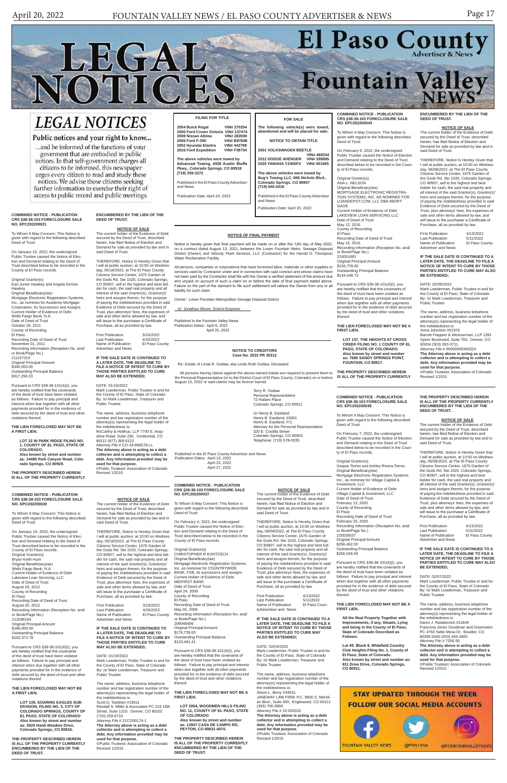## **COMBINED NOTICE - PUBLICATION CRS §38-38-103 FORECLOSURE SALE NO. EPC202200020**

To Whom It May Concern: This Notice is given with regard to the following described Deed of Trust:

On January 19, 2022, the undersigned Public Trustee caused the Notice of Election and Demand relating to the Deed of Trust described below to be recorded in the County of El Paso records. Original Grantor(s) Bryan Keith Hunt Original Beneficiary(ies) Wells Fargo Bank, N.A.

Current Holder of Evidence of Debt Lakeview Loan Servicing, LLC Date of Deed of Trust August 03, 2012 County of Recording El Paso Recording Date of Deed of Trust August 20, 2012 Recording Information (Reception No. and/ or Book/Page No.) 212096164 Criginal Principal Amount<br>\$186,000,00 \$186,000.00 Outstanding Principal Balance \$162,372.78

Pursuant to CRS §38-38-101(4)(i), you are hereby notified that the covenants of the deed of trust have been violated as follows: Failure to pay principal and interest when due together with all other payments provided for in the evidence of debt secured by the deed of trust and other violations thereof.

# **THE LIEN FORECLOSED MAY NOT BE A FIRST LIEN.**

First Publication 3/23/2022<br>Last Publication 4/20/2022 Last Publication 4/20/2022 Name of Publication El Paso County Advertiser and News

**LOT 139, SOARING EAGLES SUB-DIVISION, FILING NO. 5, CITY OF COLORADO SPRINGS, COUNTY OF EL PASO, STATE OF COLORADO Also known by street and number as: 5026 Hawk Meadow Drive, Colorado Springs, CO 80916.**

**THE PROPERTY DESCRIBED HEREIN IS ALL OF THE PROPERTY CURRENTLY ENCUMBERED BY THE LIEN OF THE DEED OF TRUST.**

**NOTICE OF SALE** The current holder of the Evidence of Debt secured by the Deed of Trust, described herein, has filed Notice of Election and Demand for sale as provided by law and in

said Deed of Trust.

Original Grantor(s) Earl Junior Hawkey and Angela Denise **Hawkey** 

> THEREFORE, Notice Is Hereby Given that I will at public auction, at 10:00 on Wednesday, 05/18/2022, at The El Paso County Citizens Service Center, 1675 Garden of the Gods Rd. Ste 1020, Colorado Springs, CO 80907, sell to the highest and best bidder for cash, the said real property and all interest of the said Grantor(s), Grantor(s)' heirs and assigns therein, for the purpose

of paying the indebtedness provided in said Evidence of Debt secured by the Deed of Trust, plus attorneys' fees, the expenses of sale and other items allowed by law, and will issue to the purchaser a Certificate of Purchase, all as provided by law.

**IF THE SALE DATE IS CONTINUED TO A LATER DATE, THE DEADLINE TO FILE A NOTICE OF INTENT TO CURE BY THOSE PARTIES ENTITLED TO CURE MAY ALSO BE EXTENDED;**

DATE: 01/19/2022 Mark Lowderman, Public Trustee in and for the County of El Paso, State of Colorado By: /s/ Mark Lowderman, Treasurer and Public Trustee

Mark Lowderman, Public Trustee in and for the County of El Paso, State of Colorado By: /s/ Mark Lowderman, Treasurer and

The name, address, business telephone number and bar registration number of the attorney(s) representing the legal holder of the indebtedness is: Scott D. Toebben #19011 Randall S. Miller & Associates PC 216 16th Street, Suite 1210, Denver, CO 80202 (720) 259-6710 Attorney File # 21CO00174-1 **The Attorney above is acting as a debt collector and is attempting to collect a debt. Any information provided may be used for that purpose.** ©Public Trustees' Association of Colorado Revised 1/2015

#### **COMBINED NOTICE - PUBLICATION CRS §38-38-103 FORECLOSURE SALE NO. EPC202200021**

To Whom It May Concern: This Notice is given with regard to the following described Deed of Trust:

On January 19, 2022, the undersigned Public Trustee caused the Notice of Elec-tion and Demand relating to the Deed of Trust described below to be recorded in the County of El Paso records.

> Original Grantor(s) Gaspar Torres and Ashley Rivera-Torres Original Beneficiary(ies) Mortgage Electronic Registration Systems, Inc., as nominee for Village Capital & Investment, LLC Current Holder of Evidence of Debt Village Capital & Investment, LLC Date of Deed of Trust February 13, 2020 County of Recording El Paso Recording Date of Deed of Trust February 25, 2020 Recording Information (Reception No. and/ or Book/Page No.) 220026537 Original Principal Amount \$256,462.00 Outstanding Principal Balance \$256,049.49 Pursuant to CRS §38-38-101(4)(i), you

Original Beneficiary(ies) Mortgage Electronic Registration Systems, Inc., as nominee for Academy Mortgage Corporation, Its Successors and Assigns Current Holder of Evidence of Debt Wells Fargo Bank, N.A. Date of Deed of Trust October 28, 2011 County of Recording El Paso Recording Date of Deed of Trust November 01, 2011 Recording Information (Reception No. and/ or Book/Page No.)

211107319 Original Principal Amount \$340,000.00 Outstanding Principal Balance \$317,256.33

Pursuant to CRS §38-38-101(4)(i), you are hereby notified that the covenants of the deed of trust have been violated as follows: Failure to pay principal and interest when due together with all other payments provided for in the evidence of debt secured by the deed of trust and other violations thereof.

**THE LIEN FORECLOSED MAY NOT BE A FIRST LIEN.**

> **LOT 22 IN PARK RIDGE FILING NO. 1, COUNTY OF EL PASO, STATE OF COLORADO. Also known by street and number as: 14480 Park Canyon Road, Colorado Springs, CO 80929.**

**THE PROPERTY DESCRIBED HEREIN IS ALL OF THE PROPERTY CURRENTLY**  **ENCUMBERED BY THE LIEN OF THE** 

**DEED OF TRUST.**

LEGAL

NOTICES

**NOTICE OF SALE** The current holder of the Evidence of Debt secured by the Deed of Trust, described herein, has filed Notice of Election and Demand for sale as provided by law and in

said Deed of Trust.

Last Publication<br>Name of Publication

THEREFORE, Notice Is Hereby Given that I will at public auction, at 10:00 on Wednesday, 05/18/2022, at The El Paso County Citizens Service Center, 1675 Garden of the Gods Rd. Ste 1020, Colorado Springs, CO 80907, sell to the highest and best bidder for cash, the said real property and all interest of the said Grantor(s), Grantor(s)' heirs and assigns therein, for the purpose of paying the indebtedness provided in said Evidence of Debt secured by the Deed of Trust, plus attorneys' fees, the expenses of sale and other items allowed by law, and will issue to the purchaser a Certificate of Purchase, all as provided by law. First Publication 3/23/2022

4/20/2022<br>El Paso County

or Book/Page No.) 216051681 **Original Principal Amount** 

\$155,778.00 Outstanding Principal Balance \$144,548.72

Advertiser and News

**NOTICE OF SALE**<br>The current holder of the Evidence of Debt secured by the Deed of Trust, described herein, has filed Notice of Election and Demand for sale as provided by law and in

**IF THE SALE DATE IS CONTINUED TO A LATER DATE, THE DEADLINE TO FILE A NOTICE OF INTENT TO CURE BY THOSE PARTIES ENTITLED TO CURE MAY ALSO BE EXTENDED;**

DATE: 01/19/2022

Public Trustee

The name, address, business telephone number and bar registration number of the attorney(s) representing the legal holder of

the indebtedness is:

McCarthy & Holthus, LLP 7700 E. Arap-ahoe Road, Suite 230, Centennial, CO

First Publication 4/13/2022<br>Last Publication 5/11/2022 Last Publication 5/11/2022<br>Name of Publication El Paso County Name of Publication El Paso County Advertiser and News **IF THE SALE DATE IS CONTINUED TO A LATER DATE, THE DEADLINE TO FILE A NOTICE OF INTENT TO CURE BY THOSE PARTIES ENTITLED TO CURE MAY ALSO** 

80112 (877) 369-6122 Attorney File # CO-19-866578-LL **The Attorney above is acting as a debt collector and is attempting to collect a debt. Any information provided may be used for that purpose.** ©Public Trustees' Association of Colorado

Revised 1/2015

#### **COMBINED NOTICE - PUBLICATION CRS §38-38-103 FORECLOSURE SALE NO. EPC202200039**

To Whom It May Concern: This Notice is given with regard to the following described Deed of Trust:

On February 7, 2022, the undersigned Public Trustee caused the Notice of Election and Demand relating to the Deed of Trust described below to be recorded in the County of El Paso records.

Current Holder of Evidence of Debt MIDFIRST BANK Date of Deed of Trust April 24, 2009 County of Recording El Paso Recording Date of Deed of Trust May 05, 2009 Recording Information (Reception No. and/ or Book/Page No.) 209048406 Original Principal Amount \$176,739.00 Outstanding Principal Balance \$133,481.41

are hereby notified that the covenants of the deed of trust have been violated as

follows: Failure to pay principal and interest when due together with all other payments provided for in the evidence of debt secured by the deed of trust and other violations thereof.

#### **THE LIEN FORECLOSED MAY NOT BE A FIRST LIEN.**

**All the Real Property Together with Improvements, if any, Situate, Lying and being in the County of El Paso, State of Colorado Described as Follows:**

**Lot 40. Block 6, Widefield Country Club Heights-Filing No. 1, County of El Paso, State of Colorado. Also known by street and number as: 811 Drew Drive, Colorado Springs, CO 80911.**

**THE PROPERTY DESCRIBED HEREIN IS ALL OF THE PROPERTY CURRENTLY ENCUMBERED BY THE LIEN OF THE DEED OF TRUST.**

#### **NOTICE OF SALE**

First Publication 4/13/2022<br>Last Publication 5/11/2022 Last Publication<br>
Last Publication<br>
Name of Publication<br>
El Paso Coun-Name of Publication tyAdvertiser and News

The current holder of the Evidence of Debt secured by the Deed of Trust, described herein, has filed Notice of Election and Demand for sale as provided by law and in said Deed of Trust.

THEREFORE, Notice Is Hereby Given that I will at public auction, at 10:00 on Wednesday, 06/08/2022, at The El Paso County Citizens Service Center, 1675 Garden of the Gods Rd. Ste 1020, Colorado Springs, CO 80907, sell to the highest and best bidder for cash, the said real property and all interest of the said Grantor(s), Grantor(s)' heirs and assigns therein, for the purpose of paying the indebtedness provided in said Evidence of Debt secured by the Deed of Trust, plus attorneys' fees, the expenses of sale and other items allowed by law, and will issue to the purchaser a Certificate of Purchase, all as provided by law.

| <b>First Publication</b> | 4/13/2022      |
|--------------------------|----------------|
| Last Publication         | 5/11/2022      |
| Name of Publication      | El Paso County |
| Advertiser and News      |                |

**IF THE SALE DATE IS CONTINUED TO A LATER DATE, THE DEADLINE TO FILE A NOTICE OF INTENT TO CURE BY THOSE PARTIES ENTITLED TO CURE MAY ALSO BE EXTENDED;**

DATE: 02/07/2022

Mark Lowderman, Public Trustee in and for the County of El Paso, State of Colorado By: /s/ Mark Lowderman, Treasurer and Public Trustee

**(719) 640-2416** Published in the El Paso County Advertise

> The name, address, business telephone number and bar registration number of the attorney(s) representing the legal holder of the indebtedness is: Karen J. Radakovich #11649 Frascona Joiner Goodman and Greenstein PC 4750 Table Mesa Dr, Boulder, CO 80305-5500 (303) 494-3000 Attorney File # 7256-50 **The Attorney above is acting as a debt collector and is attempting to collect a debt. Any information provided may be used for that purpose.** ©Public Trustees' Association of Colorado Revised 1/2015



**COMBINED NOTICE - PUBLICATION CRS §38-38-103 FORECLOSURE SALE NO. EPC202200043**

To Whom It May Concern: This Notice is given with regard to the following described Deed of Trust:

On February 9, 2022, the undersigned Public Trustee caused the Notice of Election and Demand relating to the Deed of Trust described below to be recorded in the County of El Paso records.

Original Grantor(s) ANA L. NELSON Original Beneficiary(ies) MORTGAGE ELECTRONIC REGISTRA-TION SYSTEMS, INC. AS NOMINEE FOR LOANDEPOT.COM, LLC DBA IMORT-GAGE Current Holder of Evidence of Debt LAKEVIEW LOAN SERVICING LLC Date of Deed of Trust May 12, 2016

County of Recording El Paso Recording Date of Deed of Trust

May 16, 2016<br>Recording Infor ation (Reception No. and

Pursuant to CRS §38-38-101(4)(i), you are hereby notified that the covenants of the deed of trust have been violated as follows: Failure to pay principal and interest when due together with all other payments provided for in the evidence of debt secured by the deed of trust and other violations thereof.

**THE LIEN FORECLOSED MAY NOT BE A FIRST LIEN.**

**LOT 137, THE HEIGHTS AT CROSS CREEK FILING NO. 1 COUNTY OF EL PASO, STATE OF COLORADO. Also known by street and number as: 7680 SANDY SPRINGS POINT, FOUNTAIN, CO 80817.**

**THE PROPERTY DESCRIBED HEREIN IS ALL OF THE PROPERTY CURRENTLY**  **ENCUMBERED BY THE LIEN OF THE** 

**DEED OF TRUST.**

said Deed of Trust.

# April 20, 2022 FOUNTAIN VALLEY NEWS / EL PASO COUNTY ADVERTISER & NEWS Page 17 Fountain Valley

# **LEGAL NOTICES**

## Public notices and your right to know...

...and be informed of the functions of your goverment that are embodied in public notices. In that self-government charges all citizens to be informed, this newspaper urges every citizen to read and study these notices. We advise those citizens seeking further information to exercise their right of access to public record and public meetings.

THEREFORE, Notice Is Hereby Given that I will at public auction, at 10:00 on Wednes-day, 06/08/2022, at The El Paso County Citizens Service Center, 1675 Garden of the Gods Rd. Ste 1020, Colorado Springs, CO 80907, sell to the highest and best bidder for cash, the said real property and all interest of the said Grantor(s), Grantor(s) heirs and assigns therein, for the purpose of paying the indebtedness provided in said Evidence of Debt secured by the Deed of Trust, plus attorneys' fees, the expenses of sale and other items allowed by law, and will issue to the purchaser a Certificate of Purchase, all as provided by law.

**BE EXTENDED;** DATE: 02/09/2022

Mark Lowderman, Public Trustee in and for the County of El Paso, State of Colorado By: /s/ Mark Lowderman, Treasurer and

Public Trustee

The name, address, business telephone number and bar registration number of the attorney(s) representing the legal holder of the indebtedness is:

Anna Johnston #51978

Barrett Frappier & Weisserman, LLP 1391 Speer Boulevard, Suite 700, Denver, CO

es' Association of Colorado

80204 (303) 350-3711 Attorney File # 00000009340324 **The Attorney above is acting as a debt collector and is attempting to collect a debt. Any information provided may be** 

**used for that purpose.**

Revised 1/2015

#### **NOTICE OF FINAL PAYMENT**

Notice is hereby given that final payment will be made on or after the 12th day of May 2022, on a contract dated August 13, 2021, between the Lower Fountain Metro. Sewage Disposal District (Owner) and Velocity Plant Services, LLC (Contractor) for the Harold D. Thompson Water Reclamation Facility.

All persons, companies or corporations that have furnished labor, materials or other supplies or services used by Contractor under and in connection with said contract and whose claims have not been paid by the Contractor shall file with the Owner a verified statement of the amount due and unpaid on account of such a claim on or before the date of final payment stated above. Failure on the part of the claimant to file such settlement will relieve the Owner from any or all liability for such claim.

Owner: Lower Fountain Metropolitan Sewage Disposal District

/s/ Jonathan Moore, District Engineer

Published in the Fountain Valley News Publication Dates: April 6, 2022

April 20, 2022

#### **COMBINED NOTICE - PUBLICATION CRS §38-38-103 FORECLOSURE SALE NO. EPC202200037**

To Whom It May Concern: This Notice is given with regard to the following described Deed of Trust:

On February 4, 2022, the undersigned Public Trustee caused the Notice of Election and Demand relating to the Deed of Trust described below to be recorded in the County of El Paso records.

Original Grantor(s) CHRISTOPHER R KUNTZSCH Original Beneficiary(ies) Mortgage Electronic Registration Systems, Inc. as nominee for COUNTRYWIDE BANK, FSB, its successors and assigns

Pursuant to CRS §38-38-101(4)(i), you are hereby notified that the covenants of the deed of trust have been violated as follows: Failure to pay principal and interest when due together with all other payments provided for in the evidence of debt secured by the deed of trust and other violations thereof.

**THE LIEN FORECLOSED MAY NOT BE A FIRST LIEN.**

**LOT 2004, WOODMEN HILLS FILING NO. 11, COUNTY OF EL PASO, STATE OF COLORADO Also known by street and number as: 12947 CASA DE CAMPO RD, PEYTON, CO 80831-4074.**

**THE PROPERTY DESCRIBED HEREIN IS ALL OF THE PROPERTY CURRENTLY ENCUMBERED BY THE LIEN OF THE DEED OF TRUST.**

#### **NOTICE OF SALE**

The current holder of the Evidence of Debt secured by the Deed of Trust, described herein, has filed Notice of Election and Demand for sale as provided by law and in said Deed of Trust.

THEREFORE, Notice Is Hereby Given that I will at public auction, at 10:00 on Wednesday, 06/08/2022, at The El Paso County Citizens Service Center, 1675 Garden of the Gods Rd. Ste 1020, Colorado Springs, CO 80907, sell to the highest and best bidder for cash, the said real property and all interest of the said Grantor(s), Grantor(s)' heirs and assigns therein, for the purpose of paying the indebtedness provided in said Evidence of Debt secured by the Deed of Trust, plus attorneys' fees, the expenses of sale and other items allowed by law, and will issue to the purchaser a Certificate of Purchase, all as provided by law.

**IF THE SALE DATE IS CONTINUED TO A LATER DATE, THE DEADLINE TO FILE A NOTICE OF INTENT TO CURE BY THOSE PARTIES ENTITLED TO CURE MAY ALSO BE EXTENDED;**

#### DATE: 02/04/2022

Mark Lowderman, Public Trustee in and for the County of El Paso, State of Colorado By: /s/ Mark Lowderman, Treasurer and Public Trustee

The name, address, business telephone number and bar registration number of the attorney(s) representing the legal holder of the indebtedness is:

Alison L. Berry #34531

JANEWAY LAW FIRM, P.C. 9800 S. Meridian Blvd., Suite 400, Englewood, CO 80112 (303) 706-9990

Attorney File # 22-026320

**The Attorney above is acting as a debt collector and is attempting to collect a debt. Any information provided may be used for that purpose.**

©Public Trustees' Association of Colorado Revised 1/2015

# **NOTICE TO CREDITORS Case No. 2022 PR 30312**

Re: Estate of Linda R. Outlaw, aka Linda Ruth Outlaw, Deceased

 All persons having claims against the above-named estate are required to present them to the Personal Representative (or to the District Court of El Paso County, Colorado) on or before August 15, 2022 or said claims may be forever barred.

> Terry R. Outlaw Personal Representative 72 Hallam Place Colorado Springs, CO 80911

/s/ Henry B. Eastland Henry B. Eastland, #3401 Henry B. Eastland, P.C. Attorney for the Personal Representative 320 E. Costilla Street Colorado Springs, CO 80903 Telephone: (719) 578-0035

Published in the El Paso County Advertiser and News Publication Dates: April 13, 2022 April 20, 2022 April 27, 2022

### **FILING FOR TITLE**

| 2004 Buick Regal                                                                                                               | VIN# 270254        |  |
|--------------------------------------------------------------------------------------------------------------------------------|--------------------|--|
| 2000 Ford Crown Victoria                                                                                                       | VIN# 137474        |  |
| 2008 Nissan Altima                                                                                                             | VIN# 283590        |  |
| 2006 Ford F-350                                                                                                                | <b>VIN# B87698</b> |  |
| 2002 Hyundai Elantra                                                                                                           | VIN# 442798        |  |
| 2016 Ford Expedition                                                                                                           | <b>VIN# F38734</b> |  |
| The above vehicles were towed by<br>Advanced Towing, 4526 Austin Bluffs<br>Pkwy., Colorado Springs, CO 80918<br>(719) 359-3272 |                    |  |
| Published in the El Paso County Advertiser                                                                                     |                    |  |

and News Publication Date: April 20, 2022

## **FOR SALE The following vehicle(s) were towed,**

**abandoned and will be placed for sale: NOTICE TO OBTAIN TITLE**

**2001 VOLKSWAGEN BEETLE VIN# 468344 2012 DODGE AVENGER VIN# 285885**

**2020 YAMAHA YZ450FX VIN# 001905 The above vehicles were towed by Bug's Towing LLC, 806 Nichols Blvd., Colorado Springs, CO 80907**

and News Publication Date: April 20, 2022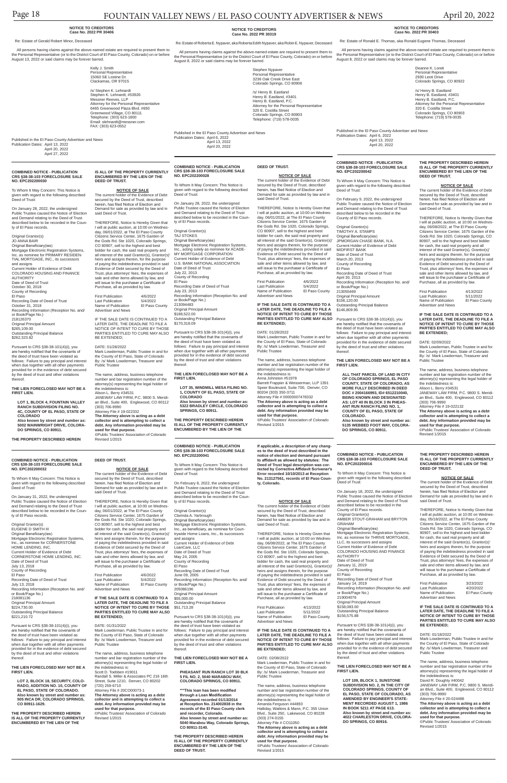# Page 18 FOUNTAIN VALLEY NEWS / EL PASO COUNTY ADVERTISER & NEWS April 20, 2022

**COMBINED NOTICE - PUBLICATION CRS §38-38-103 FORECLOSURE SALE NO. EPC202200016**

On January 18, 2022, the undersigned Public Trustee caused the Notice of Election and Demand relating to the Deed of Trust described below to be recorded in the County of El Paso records. Original Grantor(s) AMBER STOUT-GRAHAM and BRYTON GRAHAM Original Beneficiary(ies) Mortgage Electronic Registration Systems, Inc. as nominee for THRIVE MORTGAGE, LLC, its successors and assigns Current Holder of Evidence of Debt COLORADO HOUSING AND FINANCE **AUTHORITY** Date of Deed of Trust January 11, 2019 County of Recording El Paso Recording Date of Deed of Trust January 14, 2019 Recording Information (Reception No. and/ or Book/Page No.) 219004076 Original Principal Amount \$158,083.00 Outstanding Principal Balance \$156,575.88

To Whom It May Concern: This Notice is

given with regard to the following described Deed of Trust:

**NOTICE OF SALE**<br>The current holder of the Evidence of Debt secured by the Deed of Trust, described herein, has filed Notice of Election and Demand for sale as provided by law and in said Deed of Trust.

Pursuant to CRS §38-38-101(4)(i), you are hereby notified that the covenants of the deed of trust have been violated as follows: Failure to pay principal and interest when due together with all other payments provided for in the evidence of debt secured by the deed of trust and other violations thereof.

#### **THE LIEN FORECLOSED MAY NOT BE A FIRST LIEN.**

**LOT 109, BLOCK 1, SUNSTONE SUBDIVISION NO. 2, IN THE CITY OF COLORADO SPRINGS, COUNTY OF EL PASO, STATE OF COLORADO, AS AMENDED BY ENGINEER'S STATE-MENT RECORDED AUGUST 1, 1986 IN BOOK 5211 AT PAGE 613. Also known by street and number as: 4022 CHARLESTON DRIVE, COLORA-DO SPRINGS, CO 80916.**

**THE PROPERTY DESCRIBED HEREIN IS ALL OF THE PROPERTY CURRENTLY ENCUMBERED BY THE LIEN OF THE DEED OF TRUST.**

Original Grantor(s) TAJ STOKES Original Beneficiary(ies) Mortgage Electronic Registration Systems, Inc., acting solely as nominee for ACADE-MY MORTGAGE CORPORATION Current Holder of Evidence of Debt U.S. BANK NATIONAL ASSOCIATION Date of Deed of Trust July 22, 2013 County of Recording El Paso Recording Date of Deed of Trust July 23, 2013 Recording Information (Reception No. and/ or Book/Page No.) 213094483 Original Principal Amount \$188,522.00 Outstanding Principal Balance \$170,318.09 Pursuant to CRS §38-38-101(4)(i), you

> THEREFORE, Notice Is Hereby Given that I will at public auction, at 10:00 on Wednesday, 05/18/2022, at The El Paso County Citizens Service Center, 1675 Garden of the Gods Rd. Ste 1020, Colorado Springs, CO 80907, sell to the highest and best bidder for cash, the said real property and all interest of the said Grantor(s), Grantor(s)' heirs and assigns therein, for the purpose of paying the indebtedness provided in said Evidence of Debt secured by the Deed of Trust, plus attorneys' fees, the expenses of sale and other items allowed by law, and will issue to the purchaser a Certificate of Purchase, all as provided by law.

| <b>First Publication</b> | 3/23/2022      |
|--------------------------|----------------|
| <b>Last Publication</b>  | 4/20/2022      |
| Name of Publication      | El Paso County |
| Advertiser and News      |                |

**IF THE SALE DATE IS CONTINUED TO A LATER DATE, THE DEADLINE TO FILE A NOTICE OF INTENT TO CURE BY THOSE PARTIES ENTITLED TO CURE MAY ALSO BE EXTENDED;**

#### DATE: 01/18/2022

Mark Lowderman, Public Trustee in and for the County of El Paso, State of Colorado By: /s/ Mark Lowderman, Treasurer and Public Trustee

**IF THE SALE DATE IS CONTINUED TO A LATER DATE, THE DEADLINE TO FILE A**  \$156,120.00 Outstanding Principal Balance \$146,809.95

> The name, address, business telephone number and bar registration number of the attorney(s) representing the legal holder of the indebtedness is: David R. Doughty #40042 JANEWAY LAW FIRM, P.C. 9800 S. Meridian Blvd., Suite 400, Englewood, CO 80112 (303) 706-9990 Attorney File # 20-024488 **The Attorney above is acting as a debt collector and is attempting to collect a debt. Any information provided may be used for that purpose.** ©Public Trustees' Association of Colorado

Revised 1/2015

**COMBINED NOTICE - PUBLICATION CRS §38-38-103 FORECLOSURE SALE NO. EPC202200028**

> To Whom It May Concern: This Notice is given with regard to the following described Deed of Trust:

On January 28, 2022, the undersigned Public Trustee caused the Notice of Election and Demand relating to the Deed of Trust described below to be recorded in the County of El Paso records.

are hereby notified that the covenants of the deed of trust have been violated as follows: Failure to pay principal and interest when due together with all other payments provided for in the evidence of debt secured by the deed of trust and other violations thereof.

**THE LIEN FORECLOSED MAY NOT BE A FIRST LIEN.**

**LOT 35, WINDMILL MESA FILING NO. 1, COUNTY OF EL PASO, STATE OF COLORADO**

**Also known by street and number as: 5322 BRADLEY CIRCLE, COLORADO SPRINGS, CO 80911.**

**THE PROPERTY DESCRIBED HEREIN IS ALL OF THE PROPERTY CURRENTLY ENCUMBERED BY THE LIEN OF THE** 

**DEED OF TRUST.**

**NOTICE OF SALE** The current holder of the Evidence of Debt secured by the Deed of Trust, described herein, has filed Notice of Election and Demand for sale as provided by law and in

said Deed of Trust. THEREFORE, Notice Is Hereby Given that I will at public auction, at 10:00 on Wednes-day, 06/01/2022, at The El Paso County Citizens Service Center, 1675 Garden of

Advertiser and News

**NOTICE OF INTENT TO CURE BY THOSE PARTIES ENTITLED TO CURE MAY ALSO BE EXTENDED;** DATE: 01/28/2022 Mark Lowderman, Public Trustee in and for the County of El Paso, State of Colorado

Last Publication<br>Name of Publication

First Publication 4/6/2022<br>Last Publication 5/4/2022 Last Publication 5/4/2022<br>Name of Publication El Paso County Name of Publication Advertiser and News

> By: /s/ Mark Lowderman, Treasurer and Public Trustee The name, address, business telephone number and bar registration number of the attorney(s) representing the legal holder of the indebtedness is: Anna Johnston #51978 Barrett Frappier & Weisserman, LLP 1391 Speer Boulevard, Suite 700, Denver, CO 80204 (303) 350-3711 Attorney File # 00000007478332

**The Attorney above is acting as a debt collector and is attempting to collect a debt. Any information provided may be used for that purpose.** ©Public Trustees' Association of Colorado Revised 1/2015

#### **COMBINED NOTICE - PUBLICATION CRS §38-38-103 FORECLOSURE SALE NO. EPC202200032**

To Whom It May Concern: This Notice is given with regard to the following described Deed of Trust:

On January 31, 2022, the undersigned Public Trustee caused the Notice of Election and Demand relating to the Deed of Trust described below to be recorded in the County of El Paso records.

Original Grantor(s) EUGENE D SMITH III Original Beneficiary(ies) Mortgage Electronic Registration Systems, Inc., as nominee for CORNERSTONE HOME LENDING, INC. Current Holder of Evidence of Debt CORNERSTONE HOME LENDING, INC. Date of Deed of Trust July 13, 2018 County of Recording El Paso Recording Date of Deed of Trust July 13, 2018 Recording Information (Reception No. and/ or Book/Page No.) 218081136 Original Principal Amount<br>\$224 730 00 \$224,730.00 Outstanding Principal Balance \$221,210.72

Pursuant to CRS §38-38-101(4)(i), you are hereby notified that the coven the deed of trust have been violated as follows: Failure to pay principal and interest when due together with all other payments provided for in the evidence of debt secured by the deed of trust and other violations thereof.

#### **THE LIEN FORECLOSED MAY NOT BE A FIRST LIEN.**

Pursuant to CRS §38-38-101(4)(i), you<br>are hereby notified that the covenants of are hereby notified that the covenants of the deed of trust have been violated as follows: Failure to pay principal and interest when due together with all other payments provided for in the evidence of debt secured by the deed of trust and other violations thereof.

**LOT 2, BLOCK 18, SECURITY, COLO-RADO, ADDITION NO. 10, COUNTY OF EL PASO, STATE OF COLORADO. Also known by street and number as: 505 INCA DR, COLORADO SPRINGS, CO 80911-1629.**

**THE PROPERTY DESCRIBED HEREIN IS ALL OF THE PROPERTY CURRENTLY ENCUMBERED BY THE LIEN OF THE** 

**DEED OF TRUST.**

**NOTICE OF SALE** The current holder of the Evidence of Debt secured by the Deed of Trust, described herein, has filed Notice of Election and Demand for sale as provided by law and in

said Deed of Trust.

THEREFORE, Notice Is Hereby Given that

First Publication 4/13/2022<br>Last Publication 5/11/2022 Last Publication 5/11/2022<br>Name of Publication El Paso County Name of Publication Advertiser and News

Purchase, all as provided by law.

First Publication 4/6/2022 Last Publication 5/4/2022<br>Name of Publication El Paso County Name of Publication Advertiser and News

**IF THE SALE DATE IS CONTINUED TO A LATER DATE, THE DEADLINE TO FILE A NOTICE OF INTENT TO CURE BY THOSE PARTIES ENTITLED TO CURE MAY ALSO BE EXTENDED;**

#### DATE: 01/31/2022

Mark Lowderman, Public Trustee in and for the County of El Paso, State of Colorado By: /s/ Mark Lowderman, Treasurer and Public Trustee

The name, address, business telephone number and bar registration number of the attorney(s) representing the legal holder of the indebtedness is: Scott D. Toebben #19011 Randall S. Miller & Associates PC 216 16th Street, Suite 1210, Denver, CO 80202 (720) 259-6710 Attorney File # 20CO00073-1 **The Attorney above is acting as a debt** 

**collector and is attempting to collect a debt. Any information provided may be used for that purpose.**

©Public Trustees' Association of Colorado Revised 1/2015

#### **COMBINED NOTICE - PUBLICATION CRS §38-38-103 FORECLOSURE SALE NO. EPC202200030**

Pursuant to CRS §38-38-101(4)(i), you are hereby notified that the covenants of the deed of trust have been violated as when due together with all other payments

To Whom It May Concern: This Notice is given with regard to the following described Deed of Trust:

On January 28, 2022, the undersigned Public Trustee caused the Notice of Election and Demand relating to the Deed of Trust described below to be recorded in the County of El Paso records.

Original Grantor(s) JO ANNA BAIR Original Beneficiary(ies) THEREFORE, Notice Is Hereby Given that I will at public auction, at 10:00 on Wednes-day, 06/08/2022, at The El Paso County Citizens Service Center, 1675 Garden of the Gods Rd. Ste 1020, Colorado Springs, CO 80907, sell to the highest and best bidder for cash, the said real property and all interest of the said Grantor(s), Grantor(s) heirs and assigns therein, for the purpose of paying the indebtedness provided in said Evidence of Debt secured by the Deed of Trust, plus attorneys' fees, the expenses of sale and other items allowed by law, and will issue to the purchaser a Certificate of Purchase, all as provided by law. First Publication 4/13/2022 Last Publication 5/11/2022<br>Name of Publication El Paso County

Mortgage Electronic Registration Systems, Inc. as nominee for PRIMARY RESIDEN-TIAL MORTGAGE, INC., its successors and assigns Current Holder of Evidence of Debt COLORADO HOUSING AND FINANCE AUTHORITY Date of Deed of Trust October 30, 2018 County of Recording El Paso Recording Date of Deed of Trust October 31, 2018 Recording Information (Reception No. and/ or Book/Page No.)

218126370 Original Principal Amount \$265,109.00 Outstanding Principal Balance \$262,323.82 Name of Publication Advertiser and News

Pursuant to CRS §38-38-101(4)(i), you are hereby notified that the covenants of the deed of trust have been violated as follows: Failure to pay principal and interest when due together with all other payments provided for in the evidence of debt secured by the deed of trust and other violations thereof.

**THE LIEN FORECLOSED MAY NOT BE A FIRST LIEN.**

**LOT 1, BLOCK 4, FOUNTAIN VALLEY RANCH SUBDIVISION FILING NO. 4C, COUNTY OF EL PASO, STATE OF COLORADO Also known by street and number as:** 

**5002 WAINWRIGHT DRIVE, COLORA-DO SPRINGS, CO 80911.**

**THE PROPERTY DESCRIBED HEREIN** 

#### **IS ALL OF THE PROPERTY CURRENTLY ENCUMBERED BY THE LIEN OF THE DEED OF TRUST.**

**NOTICE OF SALE** The current holder of the Evidence of Debt secured by the Deed of Trust, described herein, has filed Notice of Election and Demand for sale as provided by law and in said Deed of Trust.

I will at public auction, at 10:00 on Wednes-day, 06/01/2022, at The El Paso County Citizens Service Center, 1675 Garden of the Gods Rd. Ste 1020, Colorado Springs, CO 80907, sell to the highest and best bidder for cash, the said real property and all interest of the said Grantor(s), Grantor(s)' heirs and assigns therein, for the purpose of paying the indebtedness provided in said Evidence of Debt secured by the Deed of Trust, plus attorneys' fees, the expenses of sale and other items allowed by law, and will issue to the purchaser a Certificate of Original Grantor(s) Clarinda A. Yarbrough Original Beneficiary(ies) Mortgage Electronic Registration Systems,<br>Inc., as beneficiary, as nominee for Counbeneficiary, as nominee for Countrywide Home Loans, Inc., its successors and assigns Current Holder of Evidence of Debt LoanCare, LLC Date of Deed of Trust May 24, 2005 County of Recording El Paso Recording Date of Deed of Trust

THEREFORE, Notice Is Hereby Given that I will at public auction, at 10:00 on Wednesday, 06/01/2022, at The El Paso County Citizens Service Center, 1675 Garden of the Gods Rd. Ste 1020, Colorado Springs, CO 80907, sell to the highest and best bidder for cash, the said real property and all interest of the said Grantor(s), Grantor(s)' heirs and assigns therein, for the purpose of paying the indebtedness provided in said Evidence of Debt secured by the Deed of Trust, plus attorneys' fees, the expenses of sale and other items allowed by law, and will issue to the purchaser a Certificate of Purchase, all as provided by law.

IF THE SALE DATE IS CONTINUED TO A BE EXTENDED;

LATER DATE, THE DEADLINE TO FILE A NOTICE OF INTENT TO CURE BY THOSE PARTIES ENTITLED TO CURE MAY ALSO

the Gods Rd. Ste 1020, Colorado Springs, CO 80907, sell to the highest and best bidder for cash, the said real property and all interest of the said Grantor(s), Grantor(s)' heirs and assigns therein, for the purpose of paying the indebtedness provided in said Evidence of Debt secured by the Deed of Trust, plus attorneys' fees, the expenses of sale and other items allowed by law, and will issue to the purchaser a Certificate of Purchase, all as provided by law. First Publication 4/6/2022<br>Last Publication 5/4/2022 El Paso County Original Grantor(s) TIMOTHY A. STAMPS Date of Deed of Trust March 20, 2013 County of Recording April 30, 2013

DATE: 01/28/2022 Mark Lowderman, Public Trustee in and for the County of El Paso, State of Colorado By: /s/ Mark Lowderman, Treasurer and Public Trustee

Alison L. Berry #34531 JANEWAY LAW FIRM, P.C. 9800 S. Meridian Blvd., Suite 400, Englewood, CO 80112

The name, address, business telephone number and bar registration number of the attorney(s) representing the legal holder of the indebtedness is: (303) 706-9990 Attorney File # 19-022332 **The Attorney above is acting as a debt collector and is attempting to collect a debt. Any information provided may be** 

**used for that purpose.**

©Public Trustees' Association of Colorado Revised 1/2015

#### **NOTICE TO CREDITORS Case No. 2022 PR 30319**

Re: Estate of Roberta E. Nypaver, aka Roberta Edith Nypaver, aka Robin E. Nypaver, Deceased

Stephen Nypaver Personal Representative 3236 Oak Creek Drive East Colorado Springs, CO 80906 /s/ Henry B. Eastland Henry B. Eastland, #3401 Henry B. Eastland, P.C.

Attorney for the Personal Representative

320 E. Costilla Street Colorado Springs, CO 80903 Telephone: (719) 578-0035

Published in the El Paso County Advertiser and News

Publication Dates: April 6, 2022

 April 13, 2022 April 20, 2022

#### **NOTICE TO CREDITORS Case No. 2022 PR 30403**

Re: Estate of Ronald E. Thomas, aka Ronald Eugene Thomas, Deceased

 All persons having claims against the above-named estate are required to present them to the Personal Representative (or to the District Court of El Paso County, Colorado) on or before August 8, 2022 or said claims may be forever barred.

> Deanne K. Loreti Personal Representative 2930 Leoti Drive Colorado Springs, CO 80922

/s/ Henry B. Eastland Henry B. Eastland, #3401 Henry B. Eastland, P.C. Attorney for the Personal Representative 320 E. Costilla Street Colorado Springs, CO 80903 Telephone: (719) 578-0035

Published in the El Paso County Advertiser and News Publication Dates: April 6, 2022 April 13, 2022 April 20, 2022

**COMBINED NOTICE - PUBLICATION CRS §38-38-103 FORECLOSURE SALE NO. EPC202200041**

To Whom It May Concern: This Notice is given with regard to the following described Deed of Trust:

On February 8, 2022, the undersigned Public Trustee caused the Notice of Election and Demand relating to the Deed of Trust described below to be recorded in the County of El Paso records.

June 09, 2005 Recording Information (Reception No. and/ or Book/Page No.) 205086196 Original Principal Amount \$55,000.00 Outstanding Principal Balance \$51,713.28

**THE LIEN FORECLOSED MAY NOT BE A FIRST LIEN.**

**PHEASANT RUN RANCH LOT 30 BLK 5 FIL NO. 2, 5040 MARABOU WAY, COLORADO SPRINGS, CO 80911.**

 All persons having claims against the above-named estate are required to present them to the Personal Representative (or to the District Court of El Paso County, Colorado) on or before August 8, 2022 or said claims may be forever barred. All persons having claims against the above-named estate are required to present them to the Personal Representative (or to the District Court of El Paso County, Colorado) on or before

> **\*\*\*This loan has been modified through a Loan Modification Agreement recorded 01/13/2014 at Reception No. 214002838 in the records of the El Paso County clerk and recorder, Colorado. Also known by street and number as: 5040 Marabou Way, Colorado Springs, CO 80911-3140.**

**THE PROPERTY DESCRIBED HEREIN IS ALL OF THE PROPERTY CURRENTLY ENCUMBERED BY THE LIEN OF THE DEED OF TRUST.**

**If applicable, a description of any changes to the deed of trust described in the notice of election and demand pursuant to affidavit as allowed by statutes: The Deed of Trust legal description was corrected by Corrective Affidavit Scrivener's Error recorded 10/10/2013 at Reception No. 213127561, records of El Paso County, Colorado.**

#### **NOTICE OF SALE**

The current holder of the Evidence of Debt secured by the Deed of Trust, described herein, has filed Notice of Election and Demand for sale as provided by law and in said Deed of Trust.

THEREFORE, Notice Is Hereby Given that I will at public auction, at 10:00 on Wednesday, 06/08/2022, at The El Paso County Citizens Service Center, 1675 Garden of the Gods Rd. Ste 1020, Colorado Springs, CO 80907, sell to the highest and best bidder for cash, the said real property and all interest of the said Grantor(s), Grantor(s)' heirs and assigns therein, for the purpose of paying the indebtedness provided in said Evidence of Debt secured by the Deed of Trust, plus attorneys' fees, the expenses of sale and other items allowed by law, and will issue to the purchaser a Certificate of Purchase, all as provided by law.

**IF THE SALE DATE IS CONTINUED TO A LATER DATE, THE DEADLINE TO FILE A NOTICE OF INTENT TO CURE BY THOSE PARTIES ENTITLED TO CURE MAY ALSO BE EXTENDED;**

DATE: 02/08/2022

Mark Lowderman, Public Trustee in and for the County of El Paso, State of Colorado By: /s/ Mark Lowderman, Treasurer and Public Trustee

The name, address, business telephone number and bar registration number of the attorney(s) representing the legal holder of the indebtedness is: Amanda Ferguson #44893 Halliday, Watkins & Mann, P.C. 355 Union Blvd., Suite 250, Lakewood, CO 80228 (303) 274-0155 Attorney File # CO11050 **The Attorney above is acting as a debt** 

**collector and is attempting to collect a debt. Any information provided may be used for that purpose.** ©Public Trustees' Association of Colorado Revised 1/2015

#### **NOTICE TO CREDITORS Case No. 2022 PR 30406**

Re: Estate of Gerald Robert Minor, Deceased

August 13, 2022 or said claims may be forever barred.

Kelly J. Smith Personal Representative 15060 SE Lostine Dr. Clackamas, OR 97015

/s/ Stephen K. Lehnardt Stephen K. Lehnardt, #53926 Messner Reeves, LLP Attorney for the Personal Representative 6465 Greenwood Plaza Blvd. #650 Greenwood Village, CO 80111 Telephone: (303) 623-1800 Email: slehnardt@messner.com FAX: (303) 623-0552

Published in the El Paso County Advertiser and News Publication Dates: April 13, 2022 April 20, 2022 April 27, 2022

#### **COMBINED NOTICE - PUBLICATION CRS §38-38-103 FORECLOSURE SALE NO. EPC202200042**

To Whom It May Concern: This Notice is given with regard to the following described Deed of Trust:

On February 9, 2022, the undersigned Public Trustee caused the Notice of Election and Demand relating to the Deed of Trust described below to be recorded in the County of El Paso records.

Original Beneficiary(ies) JPMORGAN CHASE BANK, N.A. Current Holder of Evidence of Debt MIDFIRST BANK El Paso Recording Date of Deed of Trust Recording Information (Reception No. and/ or Book/Page No.) 213055469 Original Principal Amount

follows: Failure to pay principal and interest provided for in the evidence of debt secured by the deed of trust and other violations thereof.

**THE LIEN FORECLOSED MAY NOT BE A FIRST LIEN.**

**ALL THAT PARCEL OF LAND IN CITY OF COLORADO SPRINGS, EL PASO COUNTY, STATE OF COLORADO, AS MORE FULLY DESCRIBED IN DEED DOC # 2004166993, ID# 6512210040, BEING KNOWN AND DESIGNATED AS: LOT 40 IN BLOCK 3 IN PHEAS-ANT RUN RANCH FILING NO. 1, COUNTY OF EL PASO, STATE OF COLORADO. Also known by street and number as: 5135 WEBBED FOOT WAY, COLORA-DO SPRINGS, CO 80911.**

**THE PROPERTY DESCRIBED HEREIN IS ALL OF THE PROPERTY CURRENTLY ENCUMBERED BY THE LIEN OF THE** 

**DEED OF TRUST.**

**NOTICE OF SALE** The current holder of the Evidence of Debt secured by the Deed of Trust, described herein, has filed Notice of Election and Demand for sale as provided by law and in

said Deed of Trust.

**IF THE SALE DATE IS CONTINUED TO A LATER DATE, THE DEADLINE TO FILE A NOTICE OF INTENT TO CURE BY THOSE PARTIES ENTITLED TO CURE MAY ALSO** 

**BE EXTENDED;** DATE: 02/09/2022

Mark Lowderman, Public Trustee in and for the County of El Paso, State of Colorado By: /s/ Mark Lowderman, Treasurer and

Public Trustee

The name, address, business telephone number and bar registration number of the attorney(s) representing the legal holder of

the indebtedness is: Alison L. Berry #34531

JANEWAY LAW FIRM, P.C. 9800 S. Meridian Blvd., Suite 400, Englewood, CO 80112

(303) 706-9990 Attorney File # 19-022132 **The Attorney above is acting as a debt collector and is attempting to collect a debt. Any information provided may be** 

**used for that purpose.**

©Public Trustees' Association of Colorado Revised 1/2015